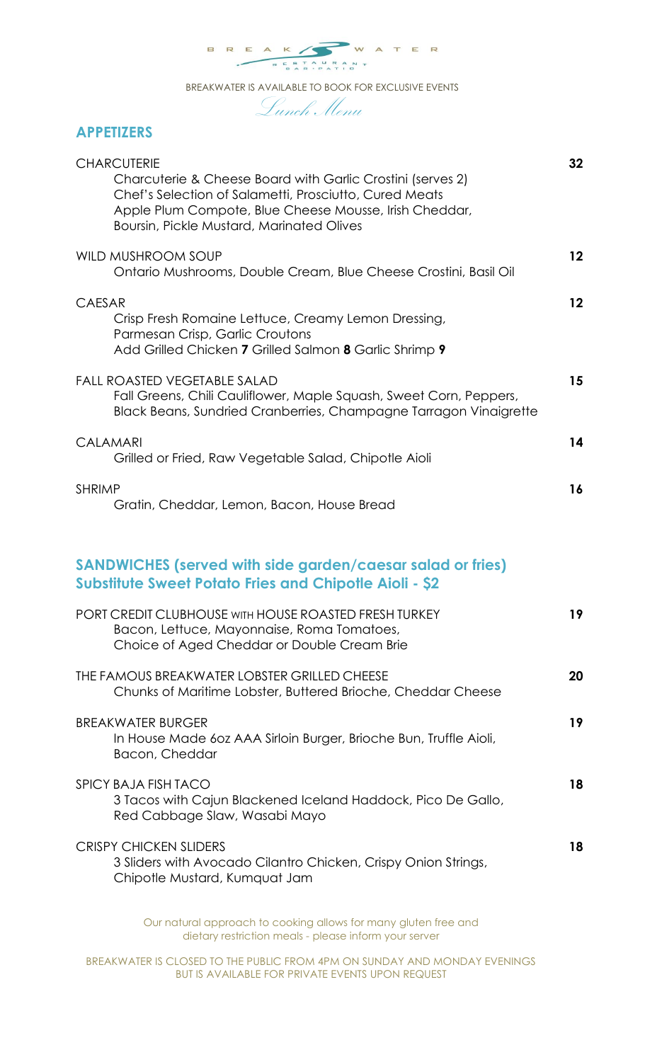

BREAKWATER IS AVAILABLE TO BOOK FOR EXCLUSIVE EVENTS

Lunch Menu

## **APPETIZERS**

| <b>CHARCUTERIE</b><br>Charcuterie & Cheese Board with Garlic Crostini (serves 2)<br>Chef's Selection of Salametti, Prosciutto, Cured Meats<br>Apple Plum Compote, Blue Cheese Mousse, Irish Cheddar,<br><b>Boursin, Pickle Mustard, Marinated Olives</b> | 32                |
|----------------------------------------------------------------------------------------------------------------------------------------------------------------------------------------------------------------------------------------------------------|-------------------|
| WILD MUSHROOM SOUP<br>Ontario Mushrooms, Double Cream, Blue Cheese Crostini, Basil Oil                                                                                                                                                                   | $12 \overline{ }$ |
| <b>CAESAR</b><br>Crisp Fresh Romaine Lettuce, Creamy Lemon Dressing,<br>Parmesan Crisp, Garlic Croutons<br>Add Grilled Chicken 7 Grilled Salmon 8 Garlic Shrimp 9                                                                                        | $12 \overline{ }$ |
| <b>FALL ROASTED VEGETABLE SALAD</b><br>Fall Greens, Chili Cauliflower, Maple Squash, Sweet Corn, Peppers,<br>Black Beans, Sundried Cranberries, Champagne Tarragon Vinaigrette                                                                           | 15                |
| <b>CALAMARI</b><br>Grilled or Fried, Raw Vegetable Salad, Chipotle Aioli                                                                                                                                                                                 | 14                |
| <b>SHRIMP</b><br>Gratin, Cheddar, Lemon, Bacon, House Bread                                                                                                                                                                                              | 16                |
| <b>SANDWICHES (served with side garden/caesar salad or fries)</b><br><b>Substitute Sweet Potato Fries and Chipotle Aioli - \$2</b>                                                                                                                       |                   |
| PORT CREDIT CLUBHOUSE WITH HOUSE ROASTED FRESH TURKEY<br>Bacon, Lettuce, Mayonnaise, Roma Tomatoes,<br>Choice of Aged Cheddar or Double Cream Brie                                                                                                       | 19                |
| THE FAMOUS BREAKWATER LOBSTER GRILLED CHEESE<br>Chunks of Maritime Lobster, Buttered Brioche, Cheddar Cheese                                                                                                                                             | 20                |
| <b>BREAKWATER BURGER</b><br>In House Made 60z AAA Sirloin Burger, Brioche Bun, Truffle Aioli,<br>Bacon, Cheddar                                                                                                                                          | 19                |
| <b>SPICY BAJA FISH TACO</b><br>3 Tacos with Cajun Blackened Iceland Haddock, Pico De Gallo,<br>Red Cabbage Slaw, Wasabi Mayo                                                                                                                             | 18                |
| <b>CRISPY CHICKEN SLIDERS</b><br>3 Sliders with Avocado Cilantro Chicken, Crispy Onion Strings,<br>Chipotle Mustard, Kumquat Jam                                                                                                                         | 18                |

Our natural approach to cooking allows for many gluten free and dietary restriction meals - please inform your server

BREAKWATER IS CLOSED TO THE PUBLIC FROM 4PM ON SUNDAY AND MONDAY EVENINGS BUT IS AVAILABLE FOR PRIVATE EVENTS UPON REQUEST